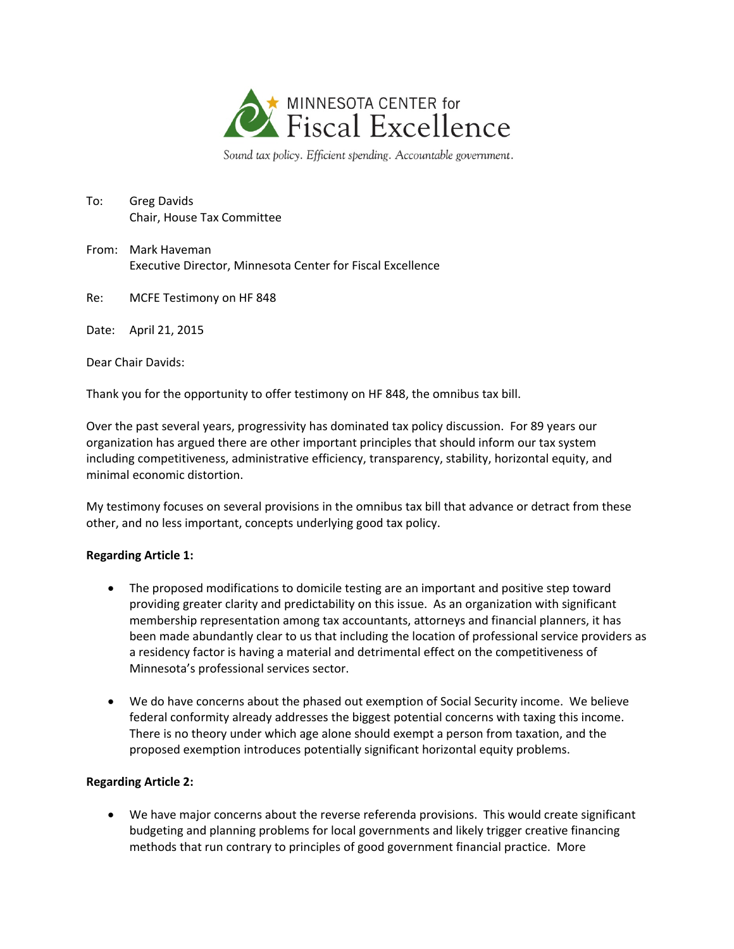

Sound tax policy. Efficient spending. Accountable government.

- To: Greg Davids Chair, House Tax Committee
- From: Mark Haveman Executive Director, Minnesota Center for Fiscal Excellence
- Re: MCFE Testimony on HF 848

Date: April 21, 2015

Dear Chair Davids:

Thank you for the opportunity to offer testimony on HF 848, the omnibus tax bill.

Over the past several years, progressivity has dominated tax policy discussion. For 89 years our organization has argued there are other important principles that should inform our tax system including competitiveness, administrative efficiency, transparency, stability, horizontal equity, and minimal economic distortion.

My testimony focuses on several provisions in the omnibus tax bill that advance or detract from these other, and no less important, concepts underlying good tax policy.

## **Regarding Article 1:**

- The proposed modifications to domicile testing are an important and positive step toward providing greater clarity and predictability on this issue. As an organization with significant membership representation among tax accountants, attorneys and financial planners, it has been made abundantly clear to us that including the location of professional service providers as a residency factor is having a material and detrimental effect on the competitiveness of Minnesota's professional services sector.
- We do have concerns about the phased out exemption of Social Security income. We believe federal conformity already addresses the biggest potential concerns with taxing this income. There is no theory under which age alone should exempt a person from taxation, and the proposed exemption introduces potentially significant horizontal equity problems.

## **Regarding Article 2:**

 We have major concerns about the reverse referenda provisions. This would create significant budgeting and planning problems for local governments and likely trigger creative financing methods that run contrary to principles of good government financial practice. More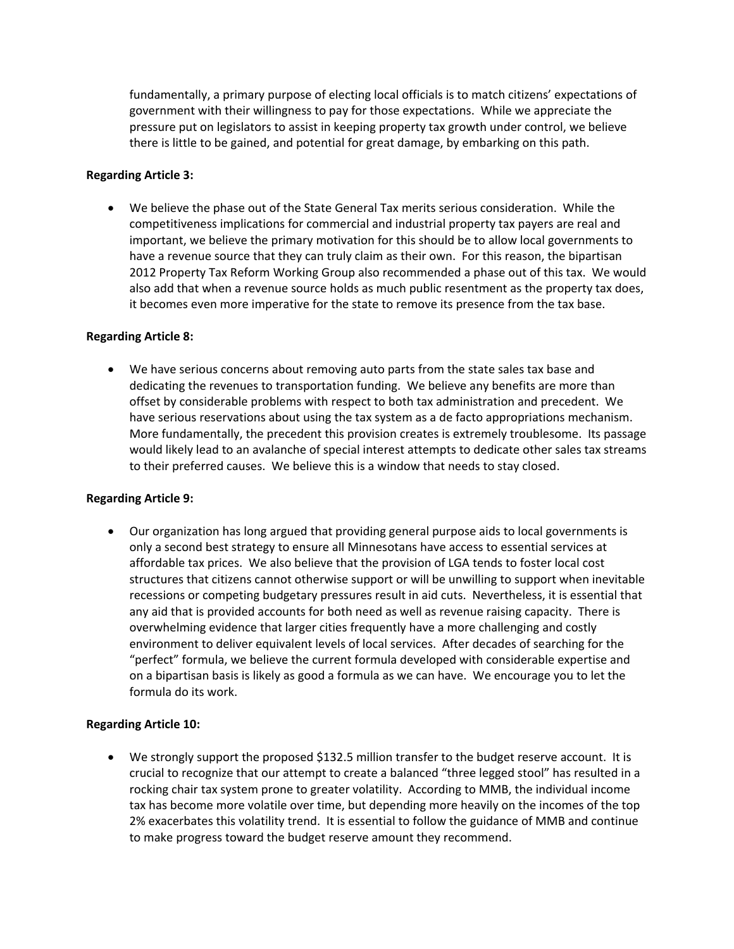fundamentally, a primary purpose of electing local officials is to match citizens' expectations of government with their willingness to pay for those expectations. While we appreciate the pressure put on legislators to assist in keeping property tax growth under control, we believe there is little to be gained, and potential for great damage, by embarking on this path.

# **Regarding Article 3:**

 We believe the phase out of the State General Tax merits serious consideration. While the competitiveness implications for commercial and industrial property tax payers are real and important, we believe the primary motivation for this should be to allow local governments to have a revenue source that they can truly claim as their own. For this reason, the bipartisan 2012 Property Tax Reform Working Group also recommended a phase out of this tax. We would also add that when a revenue source holds as much public resentment as the property tax does, it becomes even more imperative for the state to remove its presence from the tax base.

## **Regarding Article 8:**

 We have serious concerns about removing auto parts from the state sales tax base and dedicating the revenues to transportation funding. We believe any benefits are more than offset by considerable problems with respect to both tax administration and precedent. We have serious reservations about using the tax system as a de facto appropriations mechanism. More fundamentally, the precedent this provision creates is extremely troublesome. Its passage would likely lead to an avalanche of special interest attempts to dedicate other sales tax streams to their preferred causes. We believe this is a window that needs to stay closed.

## **Regarding Article 9:**

 Our organization has long argued that providing general purpose aids to local governments is only a second best strategy to ensure all Minnesotans have access to essential services at affordable tax prices. We also believe that the provision of LGA tends to foster local cost structures that citizens cannot otherwise support or will be unwilling to support when inevitable recessions or competing budgetary pressures result in aid cuts. Nevertheless, it is essential that any aid that is provided accounts for both need as well as revenue raising capacity. There is overwhelming evidence that larger cities frequently have a more challenging and costly environment to deliver equivalent levels of local services. After decades of searching for the "perfect" formula, we believe the current formula developed with considerable expertise and on a bipartisan basis is likely as good a formula as we can have. We encourage you to let the formula do its work.

## **Regarding Article 10:**

 We strongly support the proposed \$132.5 million transfer to the budget reserve account. It is crucial to recognize that our attempt to create a balanced "three legged stool" has resulted in a rocking chair tax system prone to greater volatility. According to MMB, the individual income tax has become more volatile over time, but depending more heavily on the incomes of the top 2% exacerbates this volatility trend. It is essential to follow the guidance of MMB and continue to make progress toward the budget reserve amount they recommend.